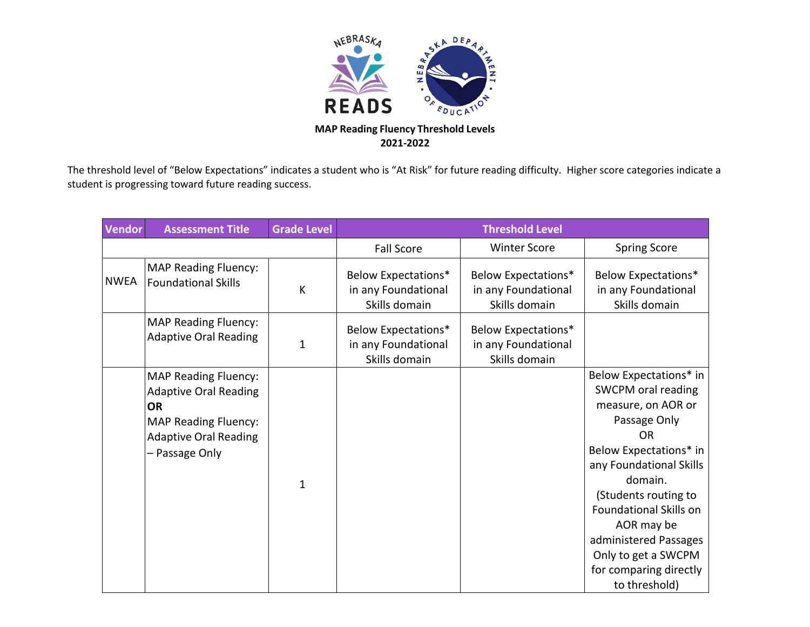

The threshold level of "Below Expectations" indicates a student who is "At Risk" for future reading difficulty. Higher score categories indicate a student is progressing toward future reading success.

| <b>Vendor</b> | <b>Assessment Title</b>                                                                                                                                   | <b>Grade Level</b> | <b>Threshold Level</b>                                             |                                                                    |                                                                                                                                                                                                                                                                                                                                   |  |
|---------------|-----------------------------------------------------------------------------------------------------------------------------------------------------------|--------------------|--------------------------------------------------------------------|--------------------------------------------------------------------|-----------------------------------------------------------------------------------------------------------------------------------------------------------------------------------------------------------------------------------------------------------------------------------------------------------------------------------|--|
|               |                                                                                                                                                           |                    | <b>Fall Score</b>                                                  | <b>Winter Score</b>                                                | <b>Spring Score</b>                                                                                                                                                                                                                                                                                                               |  |
| <b>NWEA</b>   | <b>MAP Reading Fluency:</b><br><b>Foundational Skills</b>                                                                                                 | К                  | <b>Below Expectations*</b><br>in any Foundational<br>Skills domain | <b>Below Expectations*</b><br>in any Foundational<br>Skills domain | <b>Below Expectations*</b><br>in any Foundational<br>Skills domain                                                                                                                                                                                                                                                                |  |
|               | <b>MAP Reading Fluency:</b><br><b>Adaptive Oral Reading</b>                                                                                               | 1                  | <b>Below Expectations*</b><br>in any Foundational<br>Skills domain | <b>Below Expectations*</b><br>in any Foundational<br>Skills domain |                                                                                                                                                                                                                                                                                                                                   |  |
|               | <b>MAP Reading Fluency:</b><br><b>Adaptive Oral Reading</b><br><b>OR</b><br><b>MAP Reading Fluency:</b><br><b>Adaptive Oral Reading</b><br>– Passage Only | $\mathbf 1$        |                                                                    |                                                                    | Below Expectations* in<br>SWCPM oral reading<br>measure, on AOR or<br>Passage Only<br><b>OR</b><br>Below Expectations* in<br>any Foundational Skills<br>domain.<br>(Students routing to<br><b>Foundational Skills on</b><br>AOR may be<br>administered Passages<br>Only to get a SWCPM<br>for comparing directly<br>to threshold) |  |